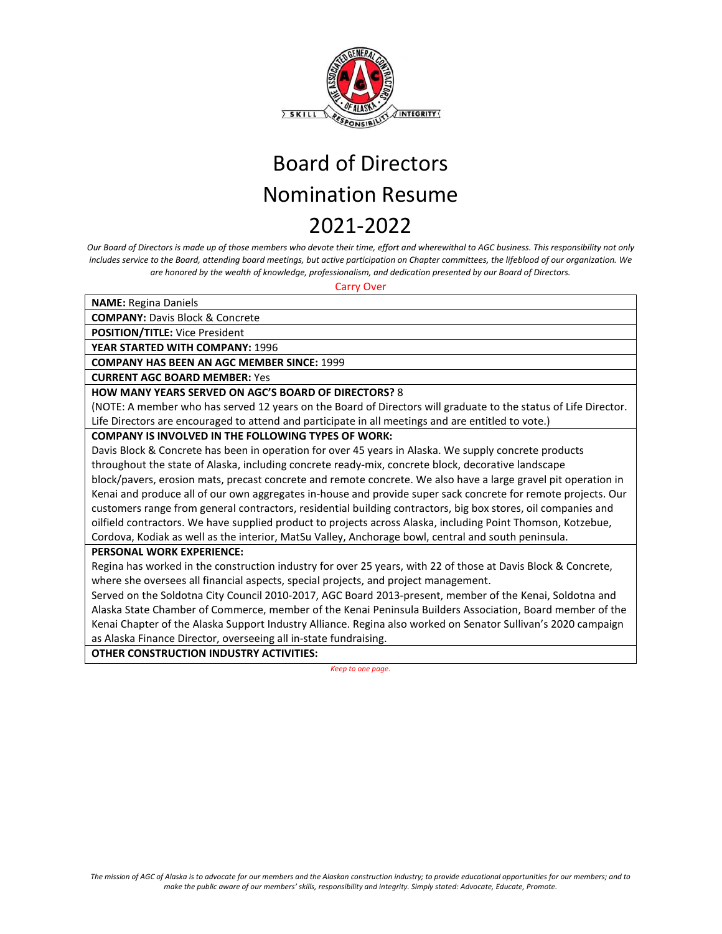

*Our Board of Directors is made up of those members who devote their time, effort and wherewithal to AGC business. This responsibility not only includes service to the Board, attending board meetings, but active participation on Chapter committees, the lifeblood of our organization. We are honored by the wealth of knowledge, professionalism, and dedication presented by our Board of Directors.*

Carry Over

**NAME:** Regina Daniels

**COMPANY:** Davis Block & Concrete

**POSITION/TITLE:** Vice President

**YEAR STARTED WITH COMPANY:** 1996

**COMPANY HAS BEEN AN AGC MEMBER SINCE:** 1999

**CURRENT AGC BOARD MEMBER:** Yes

#### **HOW MANY YEARS SERVED ON AGC'S BOARD OF DIRECTORS?** 8

(NOTE: A member who has served 12 years on the Board of Directors will graduate to the status of Life Director. Life Directors are encouraged to attend and participate in all meetings and are entitled to vote.)

#### **COMPANY IS INVOLVED IN THE FOLLOWING TYPES OF WORK:**

Davis Block & Concrete has been in operation for over 45 years in Alaska. We supply concrete products throughout the state of Alaska, including concrete ready-mix, concrete block, decorative landscape

block/pavers, erosion mats, precast concrete and remote concrete. We also have a large gravel pit operation in Kenai and produce all of our own aggregates in-house and provide super sack concrete for remote projects. Our customers range from general contractors, residential building contractors, big box stores, oil companies and oilfield contractors. We have supplied product to projects across Alaska, including Point Thomson, Kotzebue, Cordova, Kodiak as well as the interior, MatSu Valley, Anchorage bowl, central and south peninsula.

#### **PERSONAL WORK EXPERIENCE:**

Regina has worked in the construction industry for over 25 years, with 22 of those at Davis Block & Concrete, where she oversees all financial aspects, special projects, and project management.

Served on the Soldotna City Council 2010-2017, AGC Board 2013-present, member of the Kenai, Soldotna and Alaska State Chamber of Commerce, member of the Kenai Peninsula Builders Association, Board member of the Kenai Chapter of the Alaska Support Industry Alliance. Regina also worked on Senator Sullivan's 2020 campaign as Alaska Finance Director, overseeing all in-state fundraising.

**OTHER CONSTRUCTION INDUSTRY ACTIVITIES:**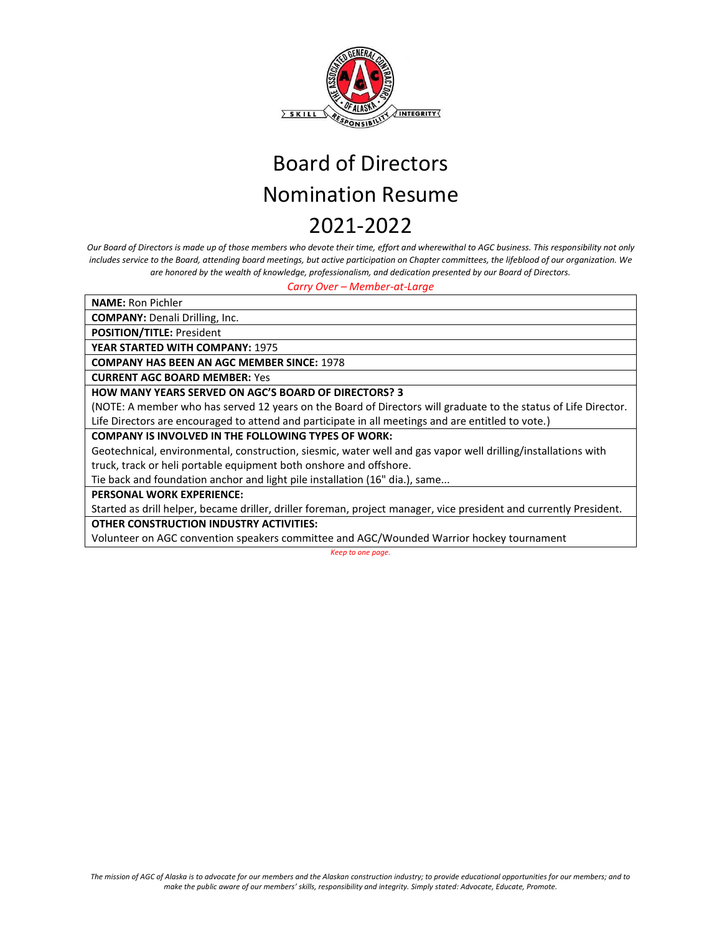

*Our Board of Directors is made up of those members who devote their time, effort and wherewithal to AGC business. This responsibility not only includes service to the Board, attending board meetings, but active participation on Chapter committees, the lifeblood of our organization. We are honored by the wealth of knowledge, professionalism, and dedication presented by our Board of Directors.* 

*Carry Over – Member-at-Large* 

**NAME:** Ron Pichler

**COMPANY:** Denali Drilling, Inc.

**POSITION/TITLE:** President

**YEAR STARTED WITH COMPANY:** 1975

**COMPANY HAS BEEN AN AGC MEMBER SINCE:** 1978

**CURRENT AGC BOARD MEMBER:** Yes

**HOW MANY YEARS SERVED ON AGC'S BOARD OF DIRECTORS? 3**

(NOTE: A member who has served 12 years on the Board of Directors will graduate to the status of Life Director. Life Directors are encouraged to attend and participate in all meetings and are entitled to vote.)

**COMPANY IS INVOLVED IN THE FOLLOWING TYPES OF WORK:** 

Geotechnical, environmental, construction, siesmic, water well and gas vapor well drilling/installations with truck, track or heli portable equipment both onshore and offshore.

Tie back and foundation anchor and light pile installation (16" dia.), same...

**PERSONAL WORK EXPERIENCE:** 

Started as drill helper, became driller, driller foreman, project manager, vice president and currently President. **OTHER CONSTRUCTION INDUSTRY ACTIVITIES:** 

Volunteer on AGC convention speakers committee and AGC/Wounded Warrior hockey tournament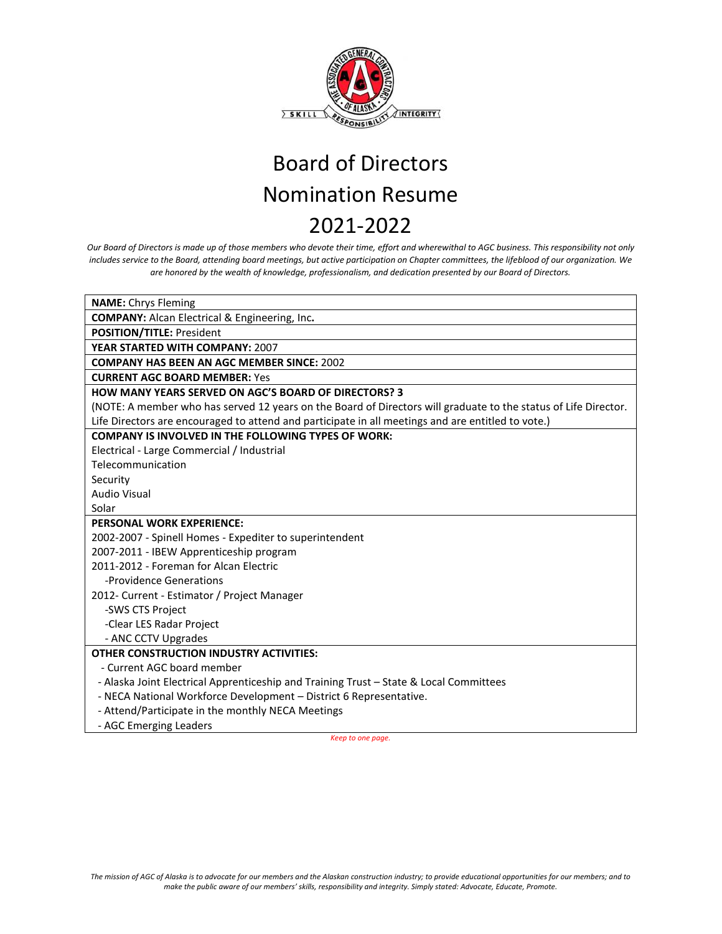

*Our Board of Directors is made up of those members who devote their time, effort and wherewithal to AGC business. This responsibility not only includes service to the Board, attending board meetings, but active participation on Chapter committees, the lifeblood of our organization. We are honored by the wealth of knowledge, professionalism, and dedication presented by our Board of Directors.*

| <b>NAME:</b> Chrys Fleming                                                                                      |  |  |  |  |
|-----------------------------------------------------------------------------------------------------------------|--|--|--|--|
| <b>COMPANY:</b> Alcan Electrical & Engineering, Inc.                                                            |  |  |  |  |
| <b>POSITION/TITLE: President</b>                                                                                |  |  |  |  |
| YEAR STARTED WITH COMPANY: 2007                                                                                 |  |  |  |  |
| <b>COMPANY HAS BEEN AN AGC MEMBER SINCE: 2002</b>                                                               |  |  |  |  |
| <b>CURRENT AGC BOARD MEMBER: Yes</b>                                                                            |  |  |  |  |
| <b>HOW MANY YEARS SERVED ON AGC'S BOARD OF DIRECTORS? 3</b>                                                     |  |  |  |  |
| (NOTE: A member who has served 12 years on the Board of Directors will graduate to the status of Life Director. |  |  |  |  |
| Life Directors are encouraged to attend and participate in all meetings and are entitled to vote.)              |  |  |  |  |
| <b>COMPANY IS INVOLVED IN THE FOLLOWING TYPES OF WORK:</b>                                                      |  |  |  |  |
| Electrical - Large Commercial / Industrial                                                                      |  |  |  |  |
| Telecommunication                                                                                               |  |  |  |  |
| Security                                                                                                        |  |  |  |  |
| <b>Audio Visual</b>                                                                                             |  |  |  |  |
| Solar                                                                                                           |  |  |  |  |
| <b>PERSONAL WORK EXPERIENCE:</b>                                                                                |  |  |  |  |
| 2002-2007 - Spinell Homes - Expediter to superintendent                                                         |  |  |  |  |
| 2007-2011 - IBEW Apprenticeship program                                                                         |  |  |  |  |
| 2011-2012 - Foreman for Alcan Electric                                                                          |  |  |  |  |
| -Providence Generations                                                                                         |  |  |  |  |
| 2012- Current - Estimator / Project Manager                                                                     |  |  |  |  |
| -SWS CTS Project                                                                                                |  |  |  |  |
| -Clear LES Radar Project                                                                                        |  |  |  |  |
| - ANC CCTV Upgrades                                                                                             |  |  |  |  |
| <b>OTHER CONSTRUCTION INDUSTRY ACTIVITIES:</b>                                                                  |  |  |  |  |
| - Current AGC board member                                                                                      |  |  |  |  |
| - Alaska Joint Electrical Apprenticeship and Training Trust - State & Local Committees                          |  |  |  |  |
| - NECA National Workforce Development - District 6 Representative.                                              |  |  |  |  |
| - Attend/Participate in the monthly NECA Meetings                                                               |  |  |  |  |
| - AGC Emerging Leaders<br>Voorte ener                                                                           |  |  |  |  |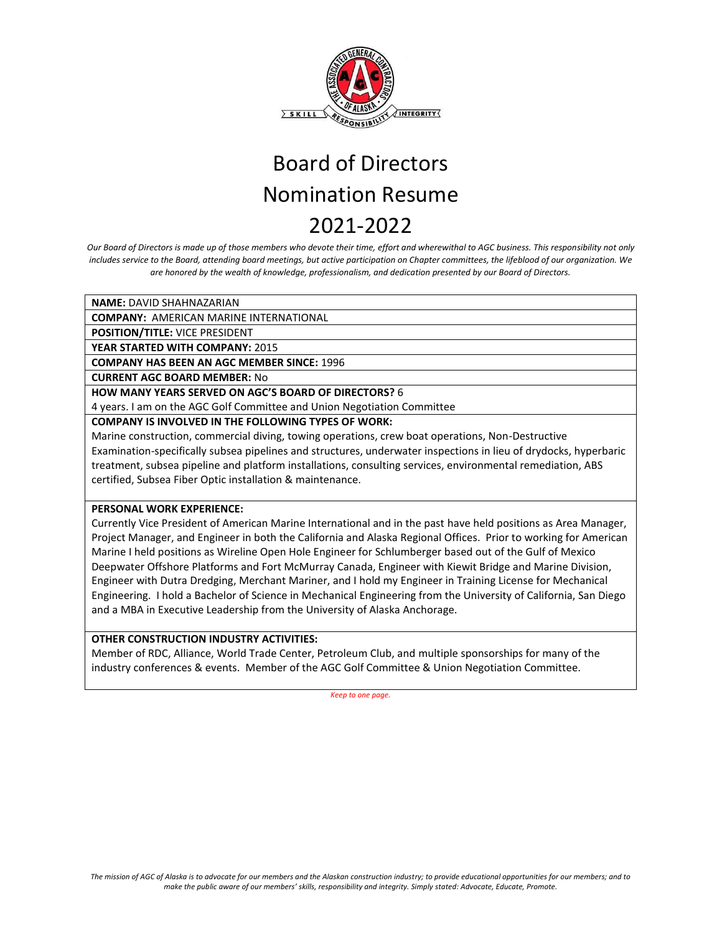

*Our Board of Directors is made up of those members who devote their time, effort and wherewithal to AGC business. This responsibility not only includes service to the Board, attending board meetings, but active participation on Chapter committees, the lifeblood of our organization. We are honored by the wealth of knowledge, professionalism, and dedication presented by our Board of Directors.* 

**NAME:** DAVID SHAHNAZARIAN

**COMPANY:** AMERICAN MARINE INTERNATIONAL

**POSITION/TITLE:** VICE PRESIDENT

**YEAR STARTED WITH COMPANY:** 2015

**COMPANY HAS BEEN AN AGC MEMBER SINCE:** 1996

**CURRENT AGC BOARD MEMBER:** No

**HOW MANY YEARS SERVED ON AGC'S BOARD OF DIRECTORS?** 6

4 years. I am on the AGC Golf Committee and Union Negotiation Committee

**COMPANY IS INVOLVED IN THE FOLLOWING TYPES OF WORK:** 

Marine construction, commercial diving, towing operations, crew boat operations, Non-Destructive Examination-specifically subsea pipelines and structures, underwater inspections in lieu of drydocks, hyperbaric treatment, subsea pipeline and platform installations, consulting services, environmental remediation, ABS certified, Subsea Fiber Optic installation & maintenance.

### **PERSONAL WORK EXPERIENCE:**

Currently Vice President of American Marine International and in the past have held positions as Area Manager, Project Manager, and Engineer in both the California and Alaska Regional Offices. Prior to working for American Marine I held positions as Wireline Open Hole Engineer for Schlumberger based out of the Gulf of Mexico Deepwater Offshore Platforms and Fort McMurray Canada, Engineer with Kiewit Bridge and Marine Division, Engineer with Dutra Dredging, Merchant Mariner, and I hold my Engineer in Training License for Mechanical Engineering. I hold a Bachelor of Science in Mechanical Engineering from the University of California, San Diego and a MBA in Executive Leadership from the University of Alaska Anchorage.

### **OTHER CONSTRUCTION INDUSTRY ACTIVITIES:**

Member of RDC, Alliance, World Trade Center, Petroleum Club, and multiple sponsorships for many of the industry conferences & events. Member of the AGC Golf Committee & Union Negotiation Committee.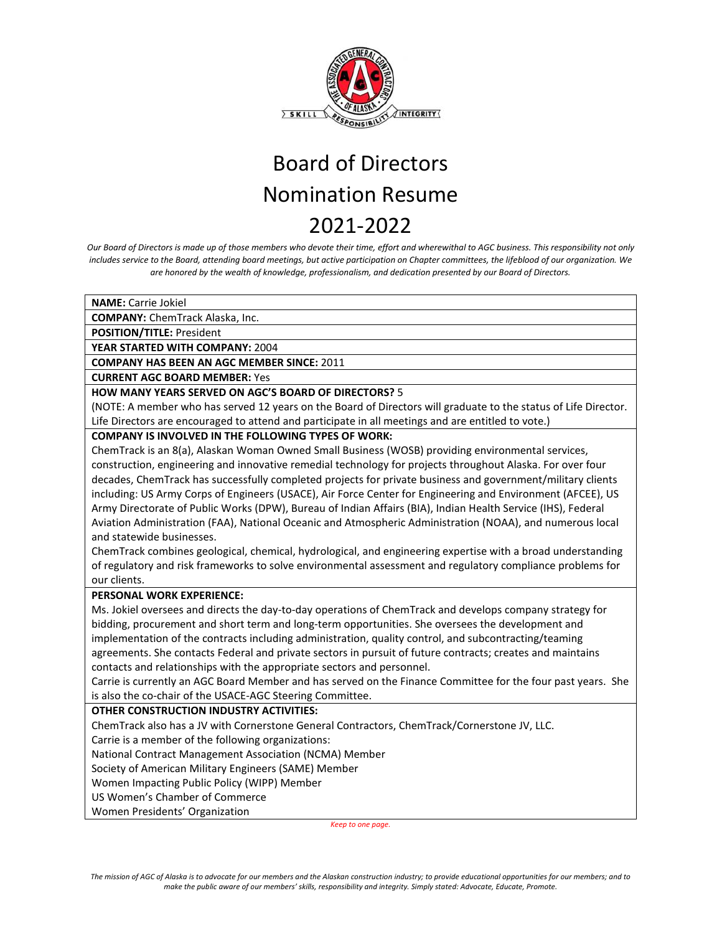

*Our Board of Directors is made up of those members who devote their time, effort and wherewithal to AGC business. This responsibility not only includes service to the Board, attending board meetings, but active participation on Chapter committees, the lifeblood of our organization. We are honored by the wealth of knowledge, professionalism, and dedication presented by our Board of Directors.*

**NAME:** Carrie Jokiel

**COMPANY:** ChemTrack Alaska, Inc.

**POSITION/TITLE:** President

**YEAR STARTED WITH COMPANY:** 2004

**COMPANY HAS BEEN AN AGC MEMBER SINCE:** 2011

**CURRENT AGC BOARD MEMBER:** Yes

#### **HOW MANY YEARS SERVED ON AGC'S BOARD OF DIRECTORS?** 5

(NOTE: A member who has served 12 years on the Board of Directors will graduate to the status of Life Director. Life Directors are encouraged to attend and participate in all meetings and are entitled to vote.)

#### **COMPANY IS INVOLVED IN THE FOLLOWING TYPES OF WORK:**

ChemTrack is an 8(a), Alaskan Woman Owned Small Business (WOSB) providing environmental services, construction, engineering and innovative remedial technology for projects throughout Alaska. For over four decades, ChemTrack has successfully completed projects for private business and government/military clients including: US Army Corps of Engineers (USACE), Air Force Center for Engineering and Environment (AFCEE), US Army Directorate of Public Works (DPW), Bureau of Indian Affairs (BIA), Indian Health Service (IHS), Federal Aviation Administration (FAA), National Oceanic and Atmospheric Administration (NOAA), and numerous local and statewide businesses.

ChemTrack combines geological, chemical, hydrological, and engineering expertise with a broad understanding of regulatory and risk frameworks to solve environmental assessment and regulatory compliance problems for our clients.

#### **PERSONAL WORK EXPERIENCE:**

Ms. Jokiel oversees and directs the day-to-day operations of ChemTrack and develops company strategy for bidding, procurement and short term and long-term opportunities. She oversees the development and implementation of the contracts including administration, quality control, and subcontracting/teaming agreements. She contacts Federal and private sectors in pursuit of future contracts; creates and maintains contacts and relationships with the appropriate sectors and personnel.

Carrie is currently an AGC Board Member and has served on the Finance Committee for the four past years. She is also the co-chair of the USACE-AGC Steering Committee.

#### **OTHER CONSTRUCTION INDUSTRY ACTIVITIES:**

ChemTrack also has a JV with Cornerstone General Contractors, ChemTrack/Cornerstone JV, LLC.

Carrie is a member of the following organizations:

National Contract Management Association (NCMA) Member

Society of American Military Engineers (SAME) Member

Women Impacting Public Policy (WIPP) Member

US Women's Chamber of Commerce

Women Presidents' Organization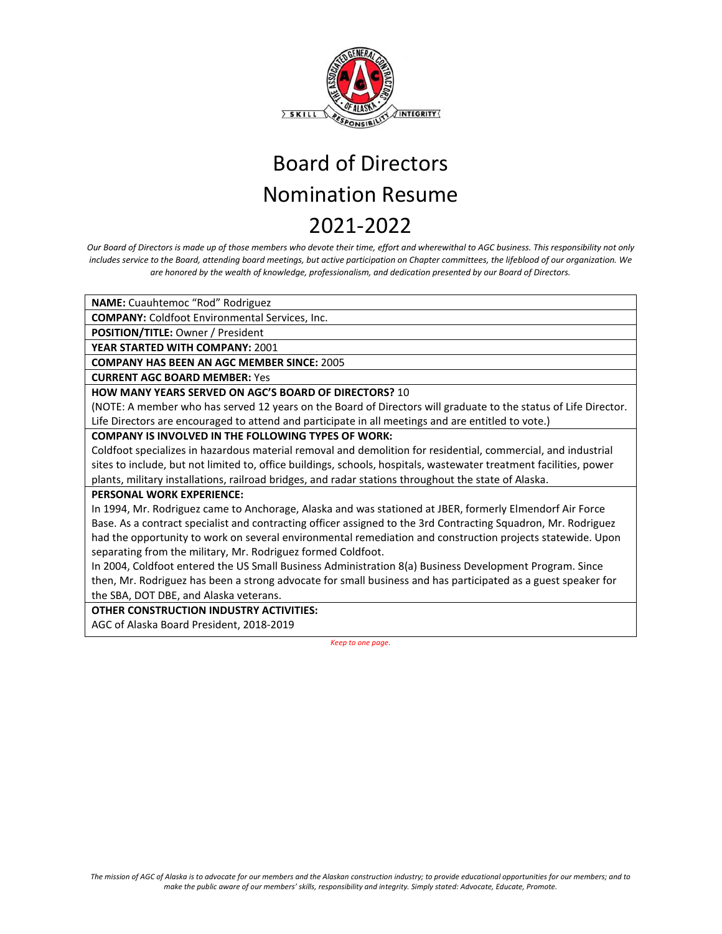

*Our Board of Directors is made up of those members who devote their time, effort and wherewithal to AGC business. This responsibility not only includes service to the Board, attending board meetings, but active participation on Chapter committees, the lifeblood of our organization. We are honored by the wealth of knowledge, professionalism, and dedication presented by our Board of Directors.*

**NAME:** Cuauhtemoc "Rod" Rodriguez

**COMPANY:** Coldfoot Environmental Services, Inc.

**POSITION/TITLE:** Owner / President

**YEAR STARTED WITH COMPANY:** 2001

**COMPANY HAS BEEN AN AGC MEMBER SINCE:** 2005

**CURRENT AGC BOARD MEMBER:** Yes

**HOW MANY YEARS SERVED ON AGC'S BOARD OF DIRECTORS?** 10

(NOTE: A member who has served 12 years on the Board of Directors will graduate to the status of Life Director. Life Directors are encouraged to attend and participate in all meetings and are entitled to vote.)

#### **COMPANY IS INVOLVED IN THE FOLLOWING TYPES OF WORK:**

Coldfoot specializes in hazardous material removal and demolition for residential, commercial, and industrial sites to include, but not limited to, office buildings, schools, hospitals, wastewater treatment facilities, power plants, military installations, railroad bridges, and radar stations throughout the state of Alaska.

#### **PERSONAL WORK EXPERIENCE:**

In 1994, Mr. Rodriguez came to Anchorage, Alaska and was stationed at JBER, formerly Elmendorf Air Force Base. As a contract specialist and contracting officer assigned to the 3rd Contracting Squadron, Mr. Rodriguez had the opportunity to work on several environmental remediation and construction projects statewide. Upon separating from the military, Mr. Rodriguez formed Coldfoot.

In 2004, Coldfoot entered the US Small Business Administration 8(a) Business Development Program. Since then, Mr. Rodriguez has been a strong advocate for small business and has participated as a guest speaker for the SBA, DOT DBE, and Alaska veterans.

#### **OTHER CONSTRUCTION INDUSTRY ACTIVITIES:**

AGC of Alaska Board President, 2018-2019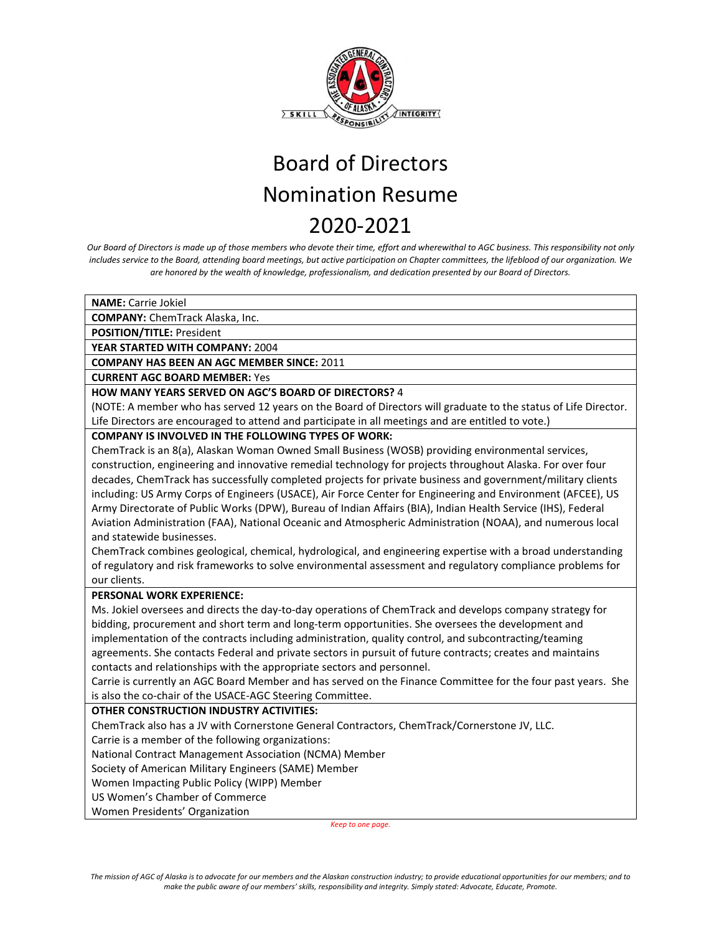

*Our Board of Directors is made up of those members who devote their time, effort and wherewithal to AGC business. This responsibility not only includes service to the Board, attending board meetings, but active participation on Chapter committees, the lifeblood of our organization. We are honored by the wealth of knowledge, professionalism, and dedication presented by our Board of Directors.*

**NAME:** Carrie Jokiel

**COMPANY:** ChemTrack Alaska, Inc.

**POSITION/TITLE:** President

**YEAR STARTED WITH COMPANY:** 2004

**COMPANY HAS BEEN AN AGC MEMBER SINCE:** 2011

**CURRENT AGC BOARD MEMBER:** Yes

#### **HOW MANY YEARS SERVED ON AGC'S BOARD OF DIRECTORS?** 4

(NOTE: A member who has served 12 years on the Board of Directors will graduate to the status of Life Director. Life Directors are encouraged to attend and participate in all meetings and are entitled to vote.)

#### **COMPANY IS INVOLVED IN THE FOLLOWING TYPES OF WORK:**

ChemTrack is an 8(a), Alaskan Woman Owned Small Business (WOSB) providing environmental services, construction, engineering and innovative remedial technology for projects throughout Alaska. For over four decades, ChemTrack has successfully completed projects for private business and government/military clients including: US Army Corps of Engineers (USACE), Air Force Center for Engineering and Environment (AFCEE), US Army Directorate of Public Works (DPW), Bureau of Indian Affairs (BIA), Indian Health Service (IHS), Federal Aviation Administration (FAA), National Oceanic and Atmospheric Administration (NOAA), and numerous local and statewide businesses.

ChemTrack combines geological, chemical, hydrological, and engineering expertise with a broad understanding of regulatory and risk frameworks to solve environmental assessment and regulatory compliance problems for our clients.

#### **PERSONAL WORK EXPERIENCE:**

Ms. Jokiel oversees and directs the day-to-day operations of ChemTrack and develops company strategy for bidding, procurement and short term and long-term opportunities. She oversees the development and implementation of the contracts including administration, quality control, and subcontracting/teaming agreements. She contacts Federal and private sectors in pursuit of future contracts; creates and maintains contacts and relationships with the appropriate sectors and personnel.

Carrie is currently an AGC Board Member and has served on the Finance Committee for the four past years. She is also the co-chair of the USACE-AGC Steering Committee.

#### **OTHER CONSTRUCTION INDUSTRY ACTIVITIES:**

ChemTrack also has a JV with Cornerstone General Contractors, ChemTrack/Cornerstone JV, LLC.

Carrie is a member of the following organizations:

National Contract Management Association (NCMA) Member

Society of American Military Engineers (SAME) Member

Women Impacting Public Policy (WIPP) Member

US Women's Chamber of Commerce

Women Presidents' Organization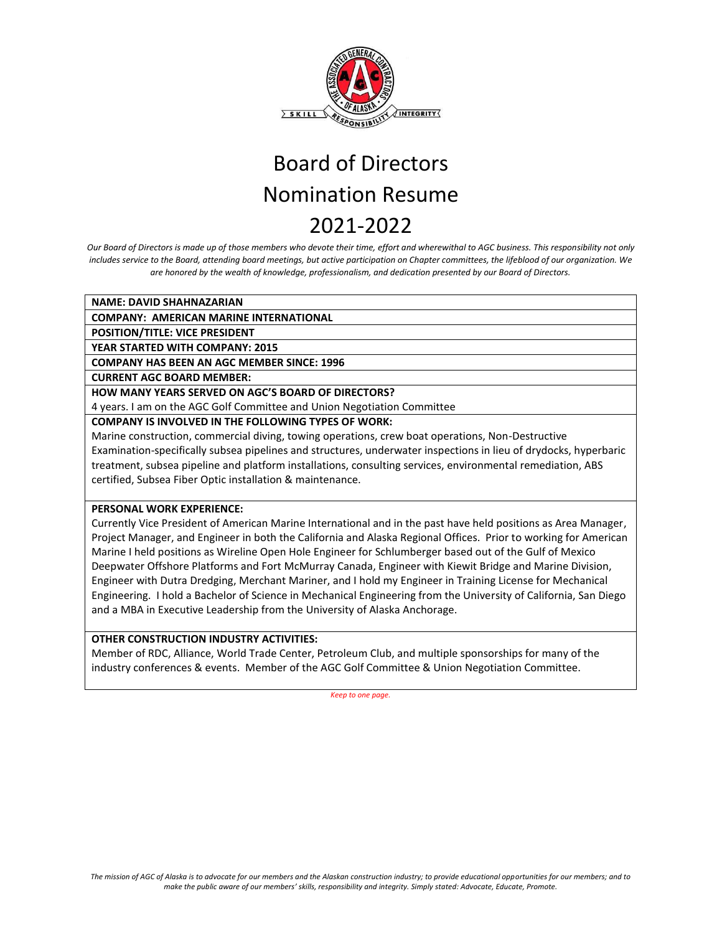

*Our Board of Directors is made up of those members who devote their time, effort and wherewithal to AGC business. This responsibility not only includes service to the Board, attending board meetings, but active participation on Chapter committees, the lifeblood of our organization. We are honored by the wealth of knowledge, professionalism, and dedication presented by our Board of Directors.* 

**NAME: DAVID SHAHNAZARIAN** 

**COMPANY: AMERICAN MARINE INTERNATIONAL** 

**POSITION/TITLE: VICE PRESIDENT** 

**YEAR STARTED WITH COMPANY: 2015**

**COMPANY HAS BEEN AN AGC MEMBER SINCE: 1996**

**CURRENT AGC BOARD MEMBER:** 

**HOW MANY YEARS SERVED ON AGC'S BOARD OF DIRECTORS?** 

4 years. I am on the AGC Golf Committee and Union Negotiation Committee

**COMPANY IS INVOLVED IN THE FOLLOWING TYPES OF WORK:** 

Marine construction, commercial diving, towing operations, crew boat operations, Non-Destructive Examination-specifically subsea pipelines and structures, underwater inspections in lieu of drydocks, hyperbaric treatment, subsea pipeline and platform installations, consulting services, environmental remediation, ABS certified, Subsea Fiber Optic installation & maintenance.

### **PERSONAL WORK EXPERIENCE:**

Currently Vice President of American Marine International and in the past have held positions as Area Manager, Project Manager, and Engineer in both the California and Alaska Regional Offices. Prior to working for American Marine I held positions as Wireline Open Hole Engineer for Schlumberger based out of the Gulf of Mexico Deepwater Offshore Platforms and Fort McMurray Canada, Engineer with Kiewit Bridge and Marine Division, Engineer with Dutra Dredging, Merchant Mariner, and I hold my Engineer in Training License for Mechanical Engineering. I hold a Bachelor of Science in Mechanical Engineering from the University of California, San Diego and a MBA in Executive Leadership from the University of Alaska Anchorage.

### **OTHER CONSTRUCTION INDUSTRY ACTIVITIES:**

Member of RDC, Alliance, World Trade Center, Petroleum Club, and multiple sponsorships for many of the industry conferences & events. Member of the AGC Golf Committee & Union Negotiation Committee.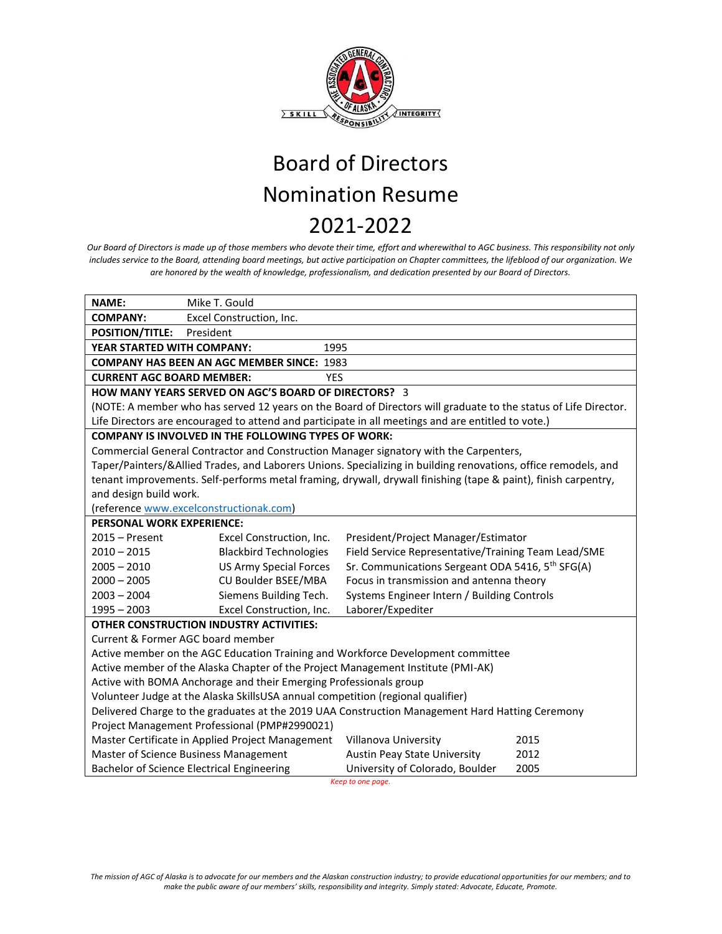

*Our Board of Directors is made up of those members who devote their time, effort and wherewithal to AGC business. This responsibility not only includes service to the Board, attending board meetings, but active participation on Chapter committees, the lifeblood of our organization. We are honored by the wealth of knowledge, professionalism, and dedication presented by our Board of Directors.* 

| <b>NAME:</b>                                                                                                    | Mike T. Gould                                    |                                                              |      |  |
|-----------------------------------------------------------------------------------------------------------------|--------------------------------------------------|--------------------------------------------------------------|------|--|
| <b>COMPANY:</b>                                                                                                 | Excel Construction, Inc.                         |                                                              |      |  |
| <b>POSITION/TITLE:</b>                                                                                          | President                                        |                                                              |      |  |
| YEAR STARTED WITH COMPANY:                                                                                      | 1995                                             |                                                              |      |  |
| <b>COMPANY HAS BEEN AN AGC MEMBER SINCE: 1983</b>                                                               |                                                  |                                                              |      |  |
| <b>CURRENT AGC BOARD MEMBER:</b><br><b>YES</b>                                                                  |                                                  |                                                              |      |  |
| <b>HOW MANY YEARS SERVED ON AGC'S BOARD OF DIRECTORS? 3</b>                                                     |                                                  |                                                              |      |  |
| (NOTE: A member who has served 12 years on the Board of Directors will graduate to the status of Life Director. |                                                  |                                                              |      |  |
| Life Directors are encouraged to attend and participate in all meetings and are entitled to vote.)              |                                                  |                                                              |      |  |
| <b>COMPANY IS INVOLVED IN THE FOLLOWING TYPES OF WORK:</b>                                                      |                                                  |                                                              |      |  |
| Commercial General Contractor and Construction Manager signatory with the Carpenters,                           |                                                  |                                                              |      |  |
| Taper/Painters/&Allied Trades, and Laborers Unions. Specializing in building renovations, office remodels, and  |                                                  |                                                              |      |  |
| tenant improvements. Self-performs metal framing, drywall, drywall finishing (tape & paint), finish carpentry,  |                                                  |                                                              |      |  |
| and design build work.                                                                                          |                                                  |                                                              |      |  |
| (reference www.excelconstructionak.com)                                                                         |                                                  |                                                              |      |  |
| PERSONAL WORK EXPERIENCE:                                                                                       |                                                  |                                                              |      |  |
| $2015 -$ Present                                                                                                | Excel Construction, Inc.                         | President/Project Manager/Estimator                          |      |  |
| $2010 - 2015$                                                                                                   | <b>Blackbird Technologies</b>                    | Field Service Representative/Training Team Lead/SME          |      |  |
| $2005 - 2010$                                                                                                   | <b>US Army Special Forces</b>                    | Sr. Communications Sergeant ODA 5416, 5 <sup>th</sup> SFG(A) |      |  |
| $2000 - 2005$                                                                                                   | CU Boulder BSEE/MBA                              | Focus in transmission and antenna theory                     |      |  |
| $2003 - 2004$                                                                                                   | Siemens Building Tech.                           | Systems Engineer Intern / Building Controls                  |      |  |
| $1995 - 2003$                                                                                                   | Excel Construction, Inc.                         | Laborer/Expediter                                            |      |  |
| <b>OTHER CONSTRUCTION INDUSTRY ACTIVITIES:</b>                                                                  |                                                  |                                                              |      |  |
| Current & Former AGC board member                                                                               |                                                  |                                                              |      |  |
| Active member on the AGC Education Training and Workforce Development committee                                 |                                                  |                                                              |      |  |
| Active member of the Alaska Chapter of the Project Management Institute (PMI-AK)                                |                                                  |                                                              |      |  |
| Active with BOMA Anchorage and their Emerging Professionals group                                               |                                                  |                                                              |      |  |
| Volunteer Judge at the Alaska SkillsUSA annual competition (regional qualifier)                                 |                                                  |                                                              |      |  |
| Delivered Charge to the graduates at the 2019 UAA Construction Management Hard Hatting Ceremony                 |                                                  |                                                              |      |  |
| Project Management Professional (PMP#2990021)                                                                   |                                                  |                                                              |      |  |
|                                                                                                                 | Master Certificate in Applied Project Management | Villanova University                                         | 2015 |  |
|                                                                                                                 | Master of Science Business Management            | <b>Austin Peay State University</b>                          | 2012 |  |
|                                                                                                                 | Bachelor of Science Electrical Engineering       | University of Colorado, Boulder                              | 2005 |  |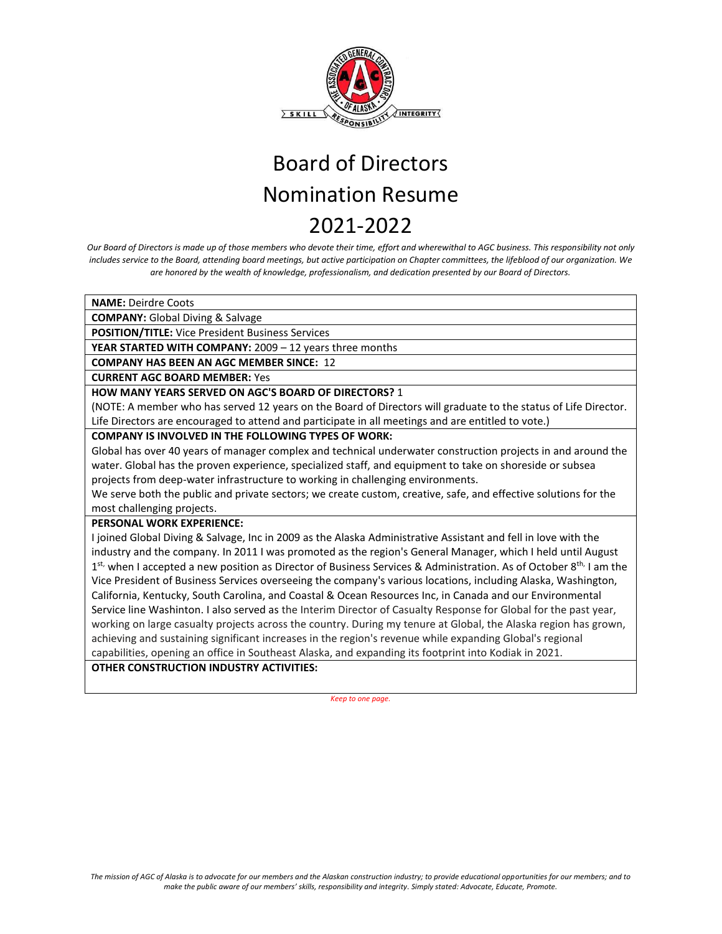

*Our Board of Directors is made up of those members who devote their time, effort and wherewithal to AGC business. This responsibility not only includes service to the Board, attending board meetings, but active participation on Chapter committees, the lifeblood of our organization. We are honored by the wealth of knowledge, professionalism, and dedication presented by our Board of Directors.* 

**NAME:** Deirdre Coots

**COMPANY:** Global Diving & Salvage

**POSITION/TITLE:** Vice President Business Services

**YEAR STARTED WITH COMPANY:** 2009 – 12 years three months

**COMPANY HAS BEEN AN AGC MEMBER SINCE:** 12

**CURRENT AGC BOARD MEMBER:** Yes

### **HOW MANY YEARS SERVED ON AGC'S BOARD OF DIRECTORS?** 1

(NOTE: A member who has served 12 years on the Board of Directors will graduate to the status of Life Director. Life Directors are encouraged to attend and participate in all meetings and are entitled to vote.)

#### **COMPANY IS INVOLVED IN THE FOLLOWING TYPES OF WORK:**

Global has over 40 years of manager complex and technical underwater construction projects in and around the water. Global has the proven experience, specialized staff, and equipment to take on shoreside or subsea projects from deep-water infrastructure to working in challenging environments.

We serve both the public and private sectors; we create custom, creative, safe, and effective solutions for the most challenging projects.

#### **PERSONAL WORK EXPERIENCE:**

I joined Global Diving & Salvage, Inc in 2009 as the Alaska Administrative Assistant and fell in love with the industry and the company. In 2011 I was promoted as the region's General Manager, which I held until August 1<sup>st,</sup> when I accepted a new position as Director of Business Services & Administration. As of October 8<sup>th,</sup> I am the Vice President of Business Services overseeing the company's various locations, including Alaska, Washington, California, Kentucky, South Carolina, and Coastal & Ocean Resources Inc, in Canada and our Environmental Service line Washinton. I also served as the Interim Director of Casualty Response for Global for the past year, working on large casualty projects across the country. During my tenure at Global, the Alaska region has grown, achieving and sustaining significant increases in the region's revenue while expanding Global's regional capabilities, opening an office in Southeast Alaska, and expanding its footprint into Kodiak in 2021.

### **OTHER CONSTRUCTION INDUSTRY ACTIVITIES:**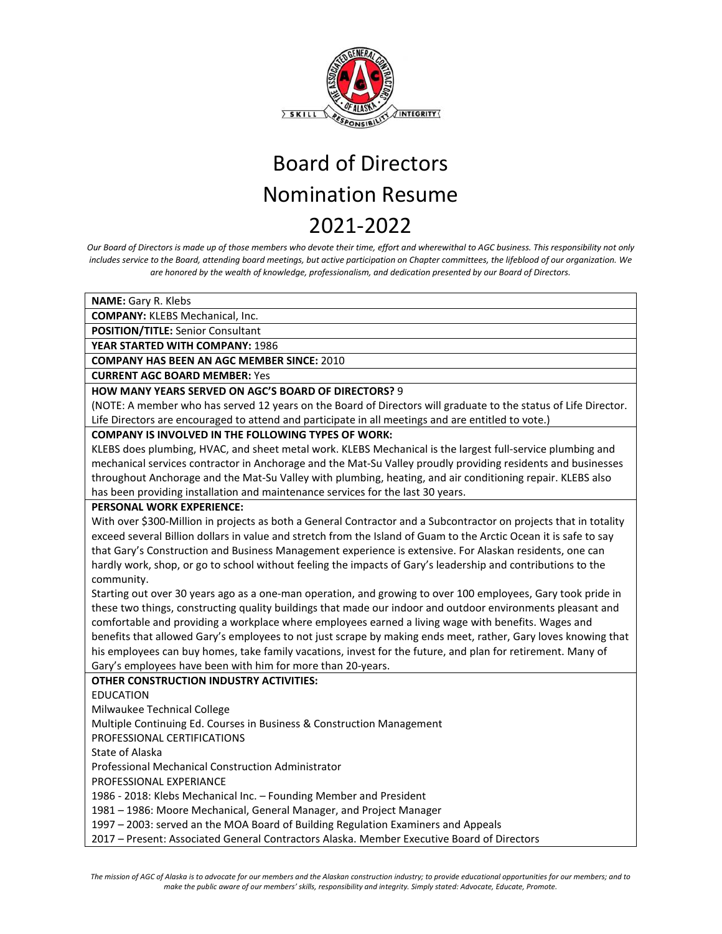

*Our Board of Directors is made up of those members who devote their time, effort and wherewithal to AGC business. This responsibility not only includes service to the Board, attending board meetings, but active participation on Chapter committees, the lifeblood of our organization. We are honored by the wealth of knowledge, professionalism, and dedication presented by our Board of Directors.*

**NAME:** Gary R. Klebs

**COMPANY:** KLEBS Mechanical, Inc.

**POSITION/TITLE:** Senior Consultant

**YEAR STARTED WITH COMPANY:** 1986

**COMPANY HAS BEEN AN AGC MEMBER SINCE:** 2010

**CURRENT AGC BOARD MEMBER:** Yes

**HOW MANY YEARS SERVED ON AGC'S BOARD OF DIRECTORS?** 9

(NOTE: A member who has served 12 years on the Board of Directors will graduate to the status of Life Director. Life Directors are encouraged to attend and participate in all meetings and are entitled to vote.)

#### **COMPANY IS INVOLVED IN THE FOLLOWING TYPES OF WORK:**

KLEBS does plumbing, HVAC, and sheet metal work. KLEBS Mechanical is the largest full-service plumbing and mechanical services contractor in Anchorage and the Mat-Su Valley proudly providing residents and businesses throughout Anchorage and the Mat-Su Valley with plumbing, heating, and air conditioning repair. KLEBS also has been providing installation and maintenance services for the last 30 years.

#### **PERSONAL WORK EXPERIENCE:**

With over \$300-Million in projects as both a General Contractor and a Subcontractor on projects that in totality exceed several Billion dollars in value and stretch from the Island of Guam to the Arctic Ocean it is safe to say that Gary's Construction and Business Management experience is extensive. For Alaskan residents, one can hardly work, shop, or go to school without feeling the impacts of Gary's leadership and contributions to the community.

Starting out over 30 years ago as a one-man operation, and growing to over 100 employees, Gary took pride in these two things, constructing quality buildings that made our indoor and outdoor environments pleasant and comfortable and providing a workplace where employees earned a living wage with benefits. Wages and benefits that allowed Gary's employees to not just scrape by making ends meet, rather, Gary loves knowing that his employees can buy homes, take family vacations, invest for the future, and plan for retirement. Many of Gary's employees have been with him for more than 20-years.

#### **OTHER CONSTRUCTION INDUSTRY ACTIVITIES:**

EDUCATION

Milwaukee Technical College

Multiple Continuing Ed. Courses in Business & Construction Management

PROFESSIONAL CERTIFICATIONS

State of Alaska

Professional Mechanical Construction Administrator

PROFESSIONAL EXPERIANCE

1986 - 2018: Klebs Mechanical Inc. – Founding Member and President

1981 – 1986: Moore Mechanical, General Manager, and Project Manager

1997 – 2003: served an the MOA Board of Building Regulation Examiners and Appeals

2017 – Present: Associated General Contractors Alaska. Member Executive Board of Directors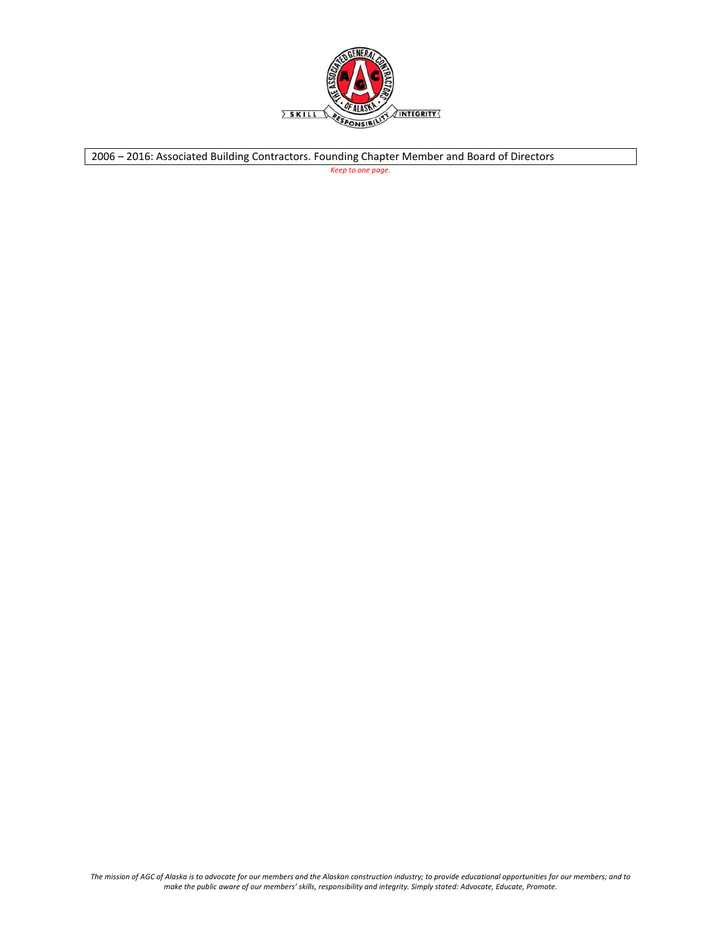

2006 – 2016: Associated Building Contractors. Founding Chapter Member and Board of Directors